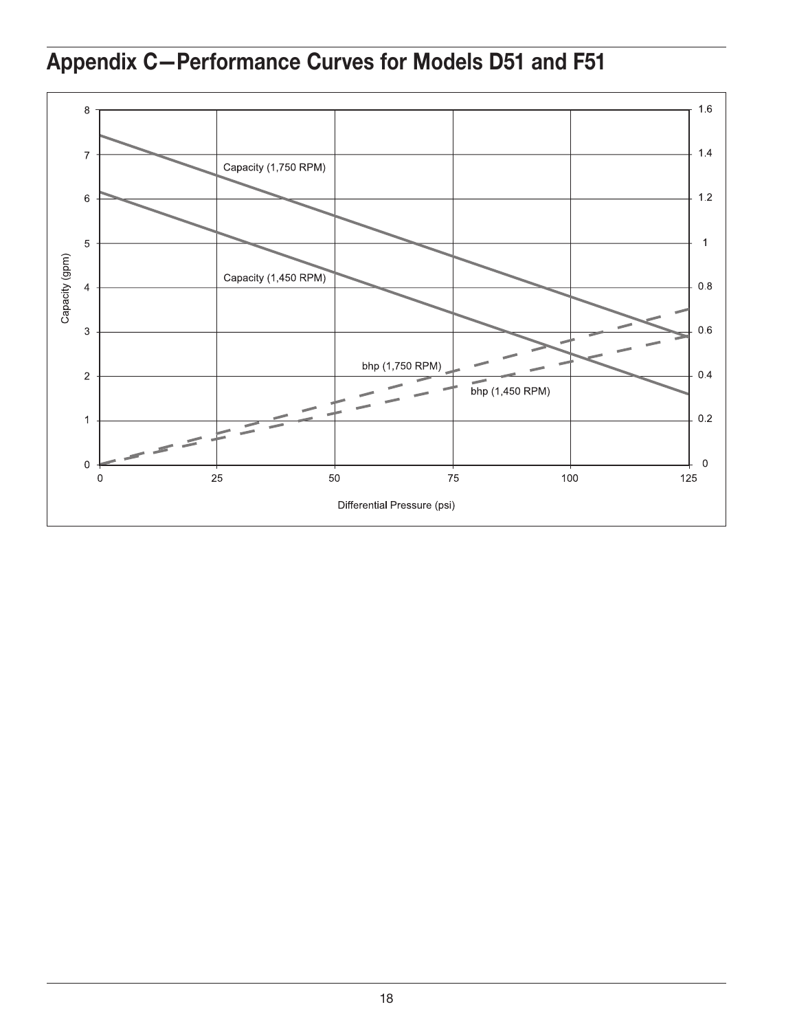Appendix C—Performance Curves for Models D51 and F51

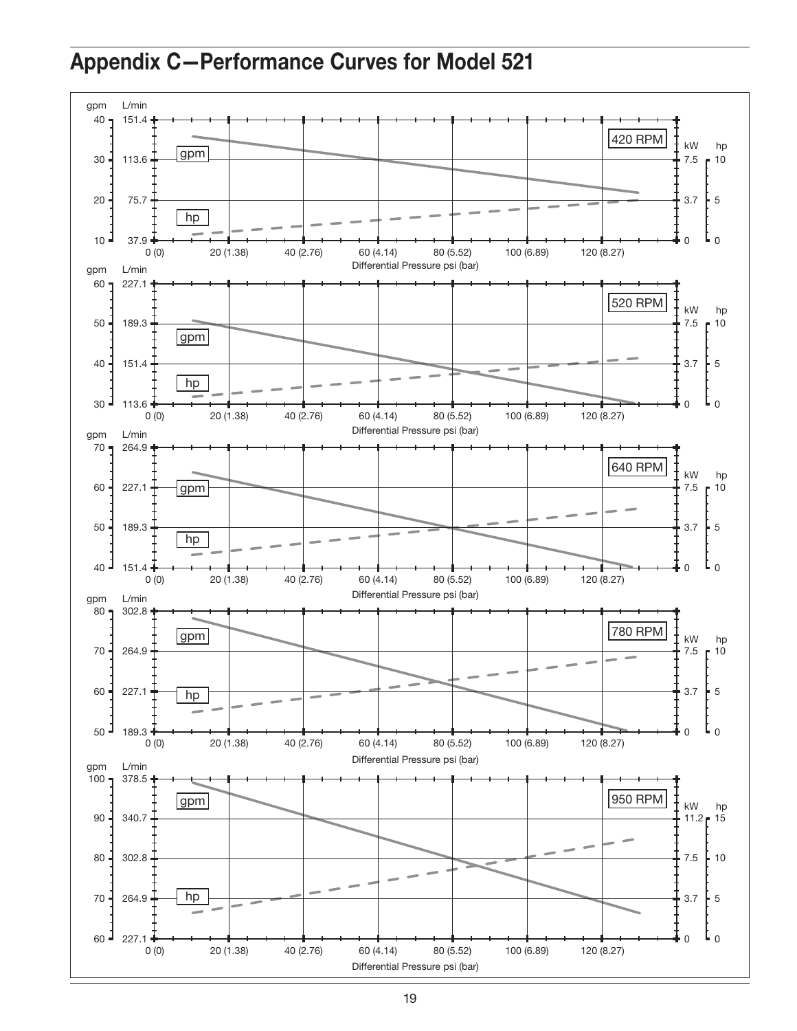## Appendix C—Performance Curves for Model 521